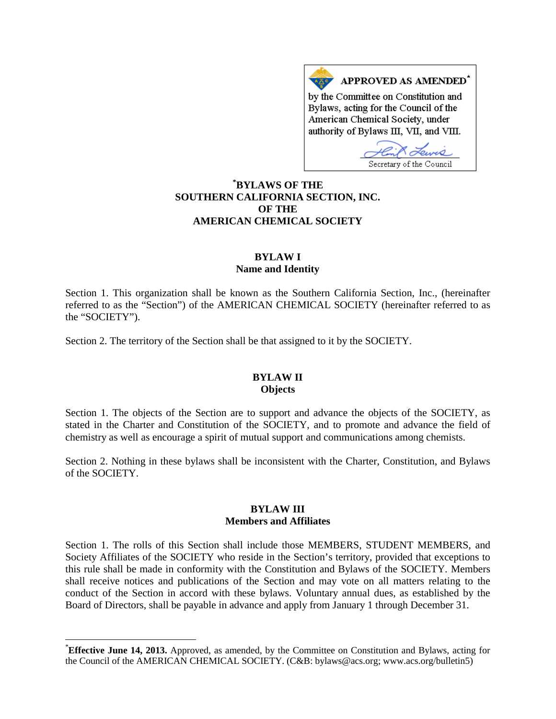APPROVED AS AMENDED<sup>\*</sup> by the Committee on Constitution and Bylaws, acting for the Council of the American Chemical Society, under authority of Bylaws III, VII, and VIII.

Secretary of the Council

# **[\\*](#page-0-0) BYLAWS OF THE SOUTHERN CALIFORNIA SECTION, INC. OF THE AMERICAN CHEMICAL SOCIETY**

## **BYLAW I Name and Identity**

Section 1. This organization shall be known as the Southern California Section, Inc., (hereinafter referred to as the "Section") of the AMERICAN CHEMICAL SOCIETY (hereinafter referred to as the "SOCIETY").

Section 2. The territory of the Section shall be that assigned to it by the SOCIETY.

### **BYLAW II Objects**

Section 1. The objects of the Section are to support and advance the objects of the SOCIETY, as stated in the Charter and Constitution of the SOCIETY, and to promote and advance the field of chemistry as well as encourage a spirit of mutual support and communications among chemists.

Section 2. Nothing in these bylaws shall be inconsistent with the Charter, Constitution, and Bylaws of the SOCIETY.

# **BYLAW III Members and Affiliates**

Section 1. The rolls of this Section shall include those MEMBERS, STUDENT MEMBERS, and Society Affiliates of the SOCIETY who reside in the Section's territory, provided that exceptions to this rule shall be made in conformity with the Constitution and Bylaws of the SOCIETY. Members shall receive notices and publications of the Section and may vote on all matters relating to the conduct of the Section in accord with these bylaws. Voluntary annual dues, as established by the Board of Directors, shall be payable in advance and apply from January 1 through December 31.

<span id="page-0-0"></span> <sup>\*</sup> **Effective June 14, 2013.** Approved, as amended, by the Committee on Constitution and Bylaws, acting for the Council of the AMERICAN CHEMICAL SOCIETY. (C&B: bylaws@acs.org; www.acs.org/bulletin5)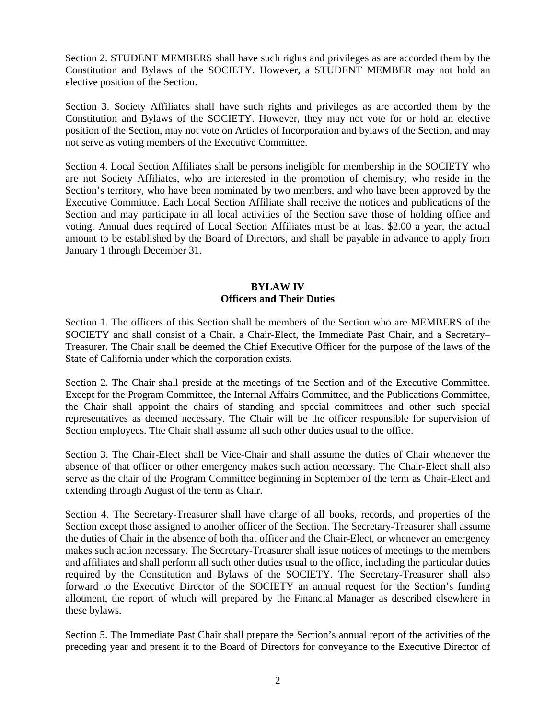Section 2. STUDENT MEMBERS shall have such rights and privileges as are accorded them by the Constitution and Bylaws of the SOCIETY. However, a STUDENT MEMBER may not hold an elective position of the Section.

Section 3. Society Affiliates shall have such rights and privileges as are accorded them by the Constitution and Bylaws of the SOCIETY. However, they may not vote for or hold an elective position of the Section, may not vote on Articles of Incorporation and bylaws of the Section, and may not serve as voting members of the Executive Committee.

Section 4. Local Section Affiliates shall be persons ineligible for membership in the SOCIETY who are not Society Affiliates, who are interested in the promotion of chemistry, who reside in the Section's territory, who have been nominated by two members, and who have been approved by the Executive Committee. Each Local Section Affiliate shall receive the notices and publications of the Section and may participate in all local activities of the Section save those of holding office and voting. Annual dues required of Local Section Affiliates must be at least \$2.00 a year, the actual amount to be established by the Board of Directors, and shall be payable in advance to apply from January 1 through December 31.

# **BYLAW IV Officers and Their Duties**

Section 1. The officers of this Section shall be members of the Section who are MEMBERS of the SOCIETY and shall consist of a Chair, a Chair-Elect, the Immediate Past Chair, and a Secretary– Treasurer. The Chair shall be deemed the Chief Executive Officer for the purpose of the laws of the State of California under which the corporation exists.

Section 2. The Chair shall preside at the meetings of the Section and of the Executive Committee. Except for the Program Committee, the Internal Affairs Committee, and the Publications Committee, the Chair shall appoint the chairs of standing and special committees and other such special representatives as deemed necessary. The Chair will be the officer responsible for supervision of Section employees. The Chair shall assume all such other duties usual to the office.

Section 3. The Chair-Elect shall be Vice-Chair and shall assume the duties of Chair whenever the absence of that officer or other emergency makes such action necessary. The Chair-Elect shall also serve as the chair of the Program Committee beginning in September of the term as Chair-Elect and extending through August of the term as Chair.

Section 4. The Secretary-Treasurer shall have charge of all books, records, and properties of the Section except those assigned to another officer of the Section. The Secretary-Treasurer shall assume the duties of Chair in the absence of both that officer and the Chair-Elect, or whenever an emergency makes such action necessary. The Secretary-Treasurer shall issue notices of meetings to the members and affiliates and shall perform all such other duties usual to the office, including the particular duties required by the Constitution and Bylaws of the SOCIETY. The Secretary-Treasurer shall also forward to the Executive Director of the SOCIETY an annual request for the Section's funding allotment, the report of which will prepared by the Financial Manager as described elsewhere in these bylaws.

Section 5. The Immediate Past Chair shall prepare the Section's annual report of the activities of the preceding year and present it to the Board of Directors for conveyance to the Executive Director of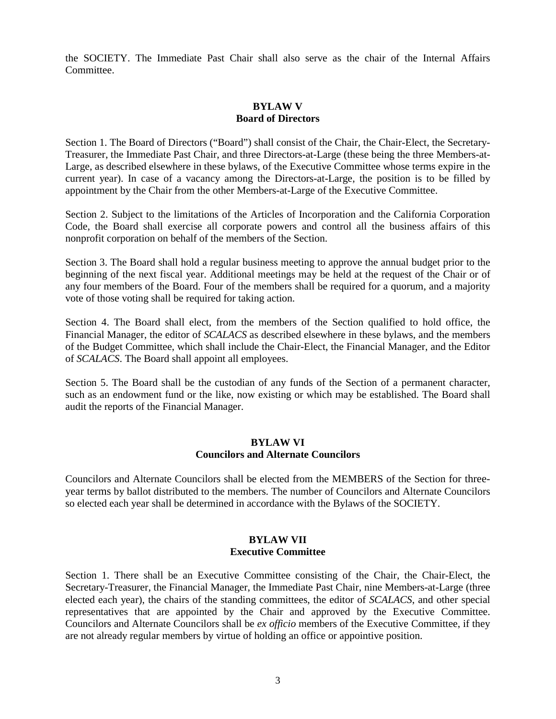the SOCIETY. The Immediate Past Chair shall also serve as the chair of the Internal Affairs **Committee** 

## **BYLAW V Board of Directors**

Section 1. The Board of Directors ("Board") shall consist of the Chair, the Chair-Elect, the Secretary-Treasurer, the Immediate Past Chair, and three Directors-at-Large (these being the three Members-at-Large, as described elsewhere in these bylaws, of the Executive Committee whose terms expire in the current year). In case of a vacancy among the Directors-at-Large, the position is to be filled by appointment by the Chair from the other Members-at-Large of the Executive Committee.

Section 2. Subject to the limitations of the Articles of Incorporation and the California Corporation Code, the Board shall exercise all corporate powers and control all the business affairs of this nonprofit corporation on behalf of the members of the Section.

Section 3. The Board shall hold a regular business meeting to approve the annual budget prior to the beginning of the next fiscal year. Additional meetings may be held at the request of the Chair or of any four members of the Board. Four of the members shall be required for a quorum, and a majority vote of those voting shall be required for taking action.

Section 4. The Board shall elect, from the members of the Section qualified to hold office, the Financial Manager, the editor of *SCALACS* as described elsewhere in these bylaws, and the members of the Budget Committee, which shall include the Chair-Elect, the Financial Manager, and the Editor of *SCALACS*. The Board shall appoint all employees.

Section 5. The Board shall be the custodian of any funds of the Section of a permanent character, such as an endowment fund or the like, now existing or which may be established. The Board shall audit the reports of the Financial Manager.

### **BYLAW VI Councilors and Alternate Councilors**

Councilors and Alternate Councilors shall be elected from the MEMBERS of the Section for threeyear terms by ballot distributed to the members. The number of Councilors and Alternate Councilors so elected each year shall be determined in accordance with the Bylaws of the SOCIETY.

# **BYLAW VII Executive Committee**

Section 1. There shall be an Executive Committee consisting of the Chair, the Chair-Elect, the Secretary-Treasurer, the Financial Manager, the Immediate Past Chair, nine Members-at-Large (three elected each year), the chairs of the standing committees, the editor of *SCALACS*, and other special representatives that are appointed by the Chair and approved by the Executive Committee. Councilors and Alternate Councilors shall be *ex officio* members of the Executive Committee, if they are not already regular members by virtue of holding an office or appointive position.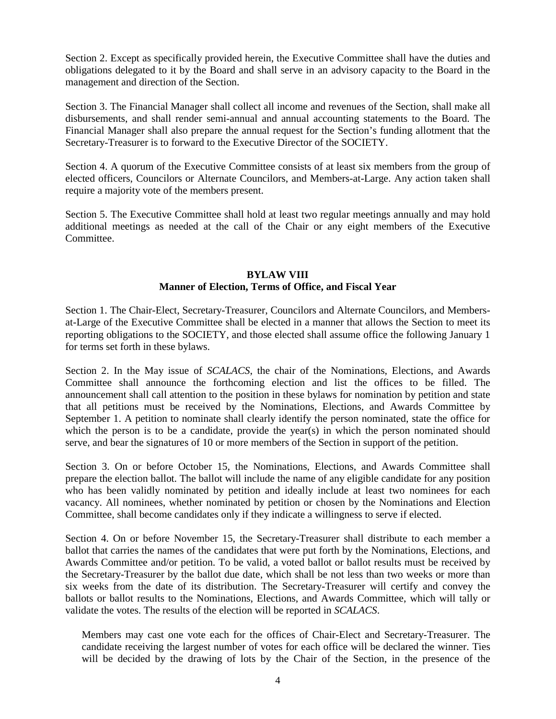Section 2. Except as specifically provided herein, the Executive Committee shall have the duties and obligations delegated to it by the Board and shall serve in an advisory capacity to the Board in the management and direction of the Section.

Section 3. The Financial Manager shall collect all income and revenues of the Section, shall make all disbursements, and shall render semi-annual and annual accounting statements to the Board. The Financial Manager shall also prepare the annual request for the Section's funding allotment that the Secretary-Treasurer is to forward to the Executive Director of the SOCIETY.

Section 4. A quorum of the Executive Committee consists of at least six members from the group of elected officers, Councilors or Alternate Councilors, and Members-at-Large. Any action taken shall require a majority vote of the members present.

Section 5. The Executive Committee shall hold at least two regular meetings annually and may hold additional meetings as needed at the call of the Chair or any eight members of the Executive Committee.

### **BYLAW VIII Manner of Election, Terms of Office, and Fiscal Year**

Section 1. The Chair-Elect, Secretary-Treasurer, Councilors and Alternate Councilors, and Membersat-Large of the Executive Committee shall be elected in a manner that allows the Section to meet its reporting obligations to the SOCIETY, and those elected shall assume office the following January 1 for terms set forth in these bylaws.

Section 2. In the May issue of *SCALACS*, the chair of the Nominations, Elections, and Awards Committee shall announce the forthcoming election and list the offices to be filled. The announcement shall call attention to the position in these bylaws for nomination by petition and state that all petitions must be received by the Nominations, Elections, and Awards Committee by September 1. A petition to nominate shall clearly identify the person nominated, state the office for which the person is to be a candidate, provide the year(s) in which the person nominated should serve, and bear the signatures of 10 or more members of the Section in support of the petition.

Section 3. On or before October 15, the Nominations, Elections, and Awards Committee shall prepare the election ballot. The ballot will include the name of any eligible candidate for any position who has been validly nominated by petition and ideally include at least two nominees for each vacancy. All nominees, whether nominated by petition or chosen by the Nominations and Election Committee, shall become candidates only if they indicate a willingness to serve if elected.

Section 4. On or before November 15, the Secretary-Treasurer shall distribute to each member a ballot that carries the names of the candidates that were put forth by the Nominations, Elections, and Awards Committee and/or petition. To be valid, a voted ballot or ballot results must be received by the Secretary-Treasurer by the ballot due date, which shall be not less than two weeks or more than six weeks from the date of its distribution. The Secretary-Treasurer will certify and convey the ballots or ballot results to the Nominations, Elections, and Awards Committee, which will tally or validate the votes. The results of the election will be reported in *SCALACS*.

Members may cast one vote each for the offices of Chair-Elect and Secretary-Treasurer. The candidate receiving the largest number of votes for each office will be declared the winner. Ties will be decided by the drawing of lots by the Chair of the Section, in the presence of the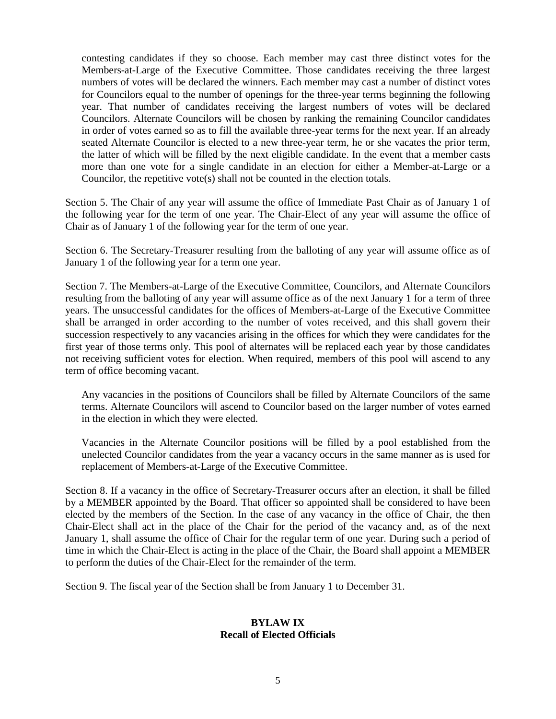contesting candidates if they so choose. Each member may cast three distinct votes for the Members-at-Large of the Executive Committee. Those candidates receiving the three largest numbers of votes will be declared the winners. Each member may cast a number of distinct votes for Councilors equal to the number of openings for the three-year terms beginning the following year. That number of candidates receiving the largest numbers of votes will be declared Councilors. Alternate Councilors will be chosen by ranking the remaining Councilor candidates in order of votes earned so as to fill the available three-year terms for the next year. If an already seated Alternate Councilor is elected to a new three-year term, he or she vacates the prior term, the latter of which will be filled by the next eligible candidate. In the event that a member casts more than one vote for a single candidate in an election for either a Member-at-Large or a Councilor, the repetitive vote(s) shall not be counted in the election totals.

Section 5. The Chair of any year will assume the office of Immediate Past Chair as of January 1 of the following year for the term of one year. The Chair-Elect of any year will assume the office of Chair as of January 1 of the following year for the term of one year.

Section 6. The Secretary-Treasurer resulting from the balloting of any year will assume office as of January 1 of the following year for a term one year.

Section 7. The Members-at-Large of the Executive Committee, Councilors, and Alternate Councilors resulting from the balloting of any year will assume office as of the next January 1 for a term of three years. The unsuccessful candidates for the offices of Members-at-Large of the Executive Committee shall be arranged in order according to the number of votes received, and this shall govern their succession respectively to any vacancies arising in the offices for which they were candidates for the first year of those terms only. This pool of alternates will be replaced each year by those candidates not receiving sufficient votes for election. When required, members of this pool will ascend to any term of office becoming vacant.

Any vacancies in the positions of Councilors shall be filled by Alternate Councilors of the same terms. Alternate Councilors will ascend to Councilor based on the larger number of votes earned in the election in which they were elected.

Vacancies in the Alternate Councilor positions will be filled by a pool established from the unelected Councilor candidates from the year a vacancy occurs in the same manner as is used for replacement of Members-at-Large of the Executive Committee.

Section 8. If a vacancy in the office of Secretary-Treasurer occurs after an election, it shall be filled by a MEMBER appointed by the Board. That officer so appointed shall be considered to have been elected by the members of the Section. In the case of any vacancy in the office of Chair, the then Chair-Elect shall act in the place of the Chair for the period of the vacancy and, as of the next January 1, shall assume the office of Chair for the regular term of one year. During such a period of time in which the Chair-Elect is acting in the place of the Chair, the Board shall appoint a MEMBER to perform the duties of the Chair-Elect for the remainder of the term.

Section 9. The fiscal year of the Section shall be from January 1 to December 31.

### **BYLAW IX Recall of Elected Officials**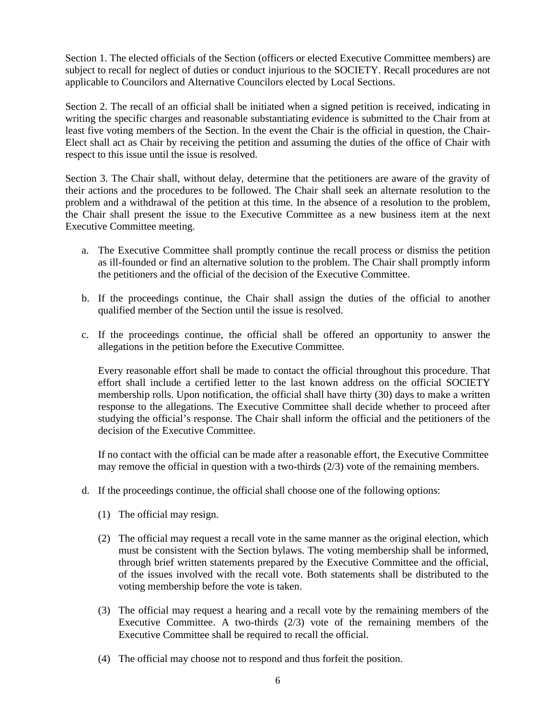Section 1. The elected officials of the Section (officers or elected Executive Committee members) are subject to recall for neglect of duties or conduct injurious to the SOCIETY. Recall procedures are not applicable to Councilors and Alternative Councilors elected by Local Sections.

Section 2. The recall of an official shall be initiated when a signed petition is received, indicating in writing the specific charges and reasonable substantiating evidence is submitted to the Chair from at least five voting members of the Section. In the event the Chair is the official in question, the Chair-Elect shall act as Chair by receiving the petition and assuming the duties of the office of Chair with respect to this issue until the issue is resolved.

Section 3. The Chair shall, without delay, determine that the petitioners are aware of the gravity of their actions and the procedures to be followed. The Chair shall seek an alternate resolution to the problem and a withdrawal of the petition at this time. In the absence of a resolution to the problem, the Chair shall present the issue to the Executive Committee as a new business item at the next Executive Committee meeting.

- a. The Executive Committee shall promptly continue the recall process or dismiss the petition as ill-founded or find an alternative solution to the problem. The Chair shall promptly inform the petitioners and the official of the decision of the Executive Committee.
- b. If the proceedings continue, the Chair shall assign the duties of the official to another qualified member of the Section until the issue is resolved.
- c. If the proceedings continue, the official shall be offered an opportunity to answer the allegations in the petition before the Executive Committee.

Every reasonable effort shall be made to contact the official throughout this procedure. That effort shall include a certified letter to the last known address on the official SOCIETY membership rolls. Upon notification, the official shall have thirty (30) days to make a written response to the allegations. The Executive Committee shall decide whether to proceed after studying the official's response. The Chair shall inform the official and the petitioners of the decision of the Executive Committee.

If no contact with the official can be made after a reasonable effort, the Executive Committee may remove the official in question with a two-thirds (2/3) vote of the remaining members.

- d. If the proceedings continue, the official shall choose one of the following options:
	- (1) The official may resign.
	- (2) The official may request a recall vote in the same manner as the original election, which must be consistent with the Section bylaws. The voting membership shall be informed, through brief written statements prepared by the Executive Committee and the official, of the issues involved with the recall vote. Both statements shall be distributed to the voting membership before the vote is taken.
	- (3) The official may request a hearing and a recall vote by the remaining members of the Executive Committee. A two-thirds (2/3) vote of the remaining members of the Executive Committee shall be required to recall the official.
	- (4) The official may choose not to respond and thus forfeit the position.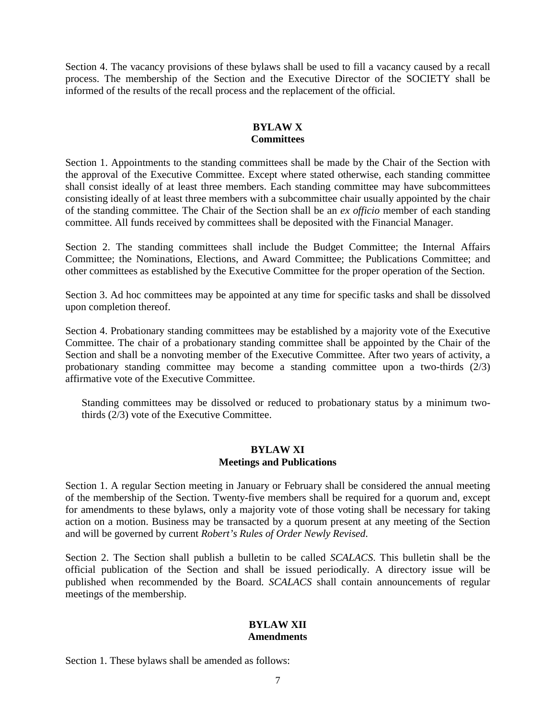Section 4. The vacancy provisions of these bylaws shall be used to fill a vacancy caused by a recall process. The membership of the Section and the Executive Director of the SOCIETY shall be informed of the results of the recall process and the replacement of the official.

## **BYLAW X Committees**

Section 1. Appointments to the standing committees shall be made by the Chair of the Section with the approval of the Executive Committee. Except where stated otherwise, each standing committee shall consist ideally of at least three members. Each standing committee may have subcommittees consisting ideally of at least three members with a subcommittee chair usually appointed by the chair of the standing committee. The Chair of the Section shall be an *ex officio* member of each standing committee. All funds received by committees shall be deposited with the Financial Manager.

Section 2. The standing committees shall include the Budget Committee; the Internal Affairs Committee; the Nominations, Elections, and Award Committee; the Publications Committee; and other committees as established by the Executive Committee for the proper operation of the Section.

Section 3. Ad hoc committees may be appointed at any time for specific tasks and shall be dissolved upon completion thereof.

Section 4. Probationary standing committees may be established by a majority vote of the Executive Committee. The chair of a probationary standing committee shall be appointed by the Chair of the Section and shall be a nonvoting member of the Executive Committee. After two years of activity, a probationary standing committee may become a standing committee upon a two-thirds  $(2/3)$ affirmative vote of the Executive Committee.

Standing committees may be dissolved or reduced to probationary status by a minimum twothirds (2/3) vote of the Executive Committee.

## **BYLAW XI Meetings and Publications**

Section 1. A regular Section meeting in January or February shall be considered the annual meeting of the membership of the Section. Twenty-five members shall be required for a quorum and, except for amendments to these bylaws, only a majority vote of those voting shall be necessary for taking action on a motion. Business may be transacted by a quorum present at any meeting of the Section and will be governed by current *Robert's Rules of Order Newly Revised*.

Section 2. The Section shall publish a bulletin to be called *SCALACS*. This bulletin shall be the official publication of the Section and shall be issued periodically. A directory issue will be published when recommended by the Board. *SCALACS* shall contain announcements of regular meetings of the membership.

### **BYLAW XII Amendments**

Section 1. These bylaws shall be amended as follows: